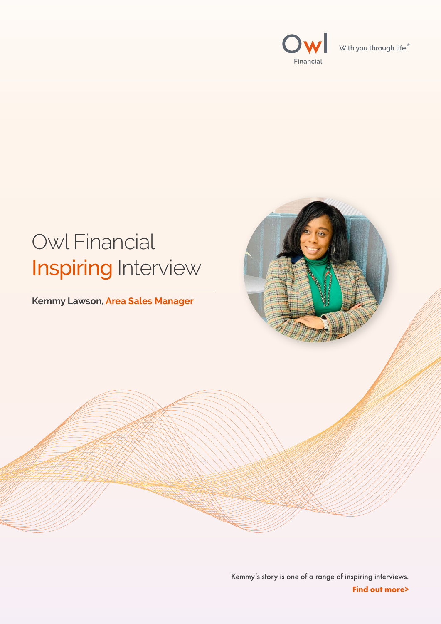



#### Kemmy's story is one of a range of inspiring interviews. **Find out more>**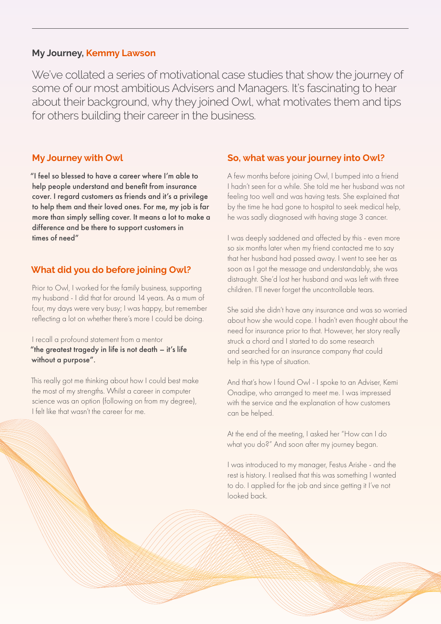We've collated a series of motivational case studies that show the journey of some of our most ambitious Advisers and Managers. It's fascinating to hear about their background, why they joined Owl, what motivates them and tips for others building their career in the business.

### **My Journey, Kemmy Lawson**

**My Journey with Owl**

I recall a profound statement from a mentor "the greatest tragedy in life is not death – it's life without a purpose".

"I feel so blessed to have a career where I'm able to help people understand and benefit from insurance cover. I regard customers as friends and it's a privilege to help them and their loved ones. For me, my job is far more than simply selling cover. It means a lot to make a difference and be there to support customers in times of need"

### **What did you do before joining Owl?**

Prior to Owl, I worked for the family business, supporting my husband - I did that for around 14 years. As a mum of four, my days were very busy; I was happy, but remember reflecting a lot on whether there's more I could be doing.

This really got me thinking about how I could best make the most of my strengths. Whilst a career in computer science was an option (following on from my degree), I felt like that wasn't the career for me.

**So, what was your journey into Owl?**

A few months before joining Owl, I bumped into a friend I hadn't seen for a while. She told me her husband was not feeling too well and was having tests. She explained that by the time he had gone to hospital to seek medical help, he was sadly diagnosed with having stage 3 cancer.

I was deeply saddened and affected by this - even more so six months later when my friend contacted me to say that her husband had passed away. I went to see her as soon as I got the message and understandably, she was distraught. She'd lost her husband and was left with three children. I'll never forget the uncontrollable tears.

She said she didn't have any insurance and was so worried about how she would cope. I hadn't even thought about the need for insurance prior to that. However, her story really struck a chord and I started to do some research and searched for an insurance company that could help in this type of situation.

And that's how I found Owl - I spoke to an Adviser, Kemi Onadipe, who arranged to meet me. I was impressed with the service and the explanation of how customers can be helped.

At the end of the meeting, I asked her "How can I do what you do?" And soon after my journey began.

I was introduced to my manager, Festus Arishe - and the rest is history. I realised that this was something I wanted